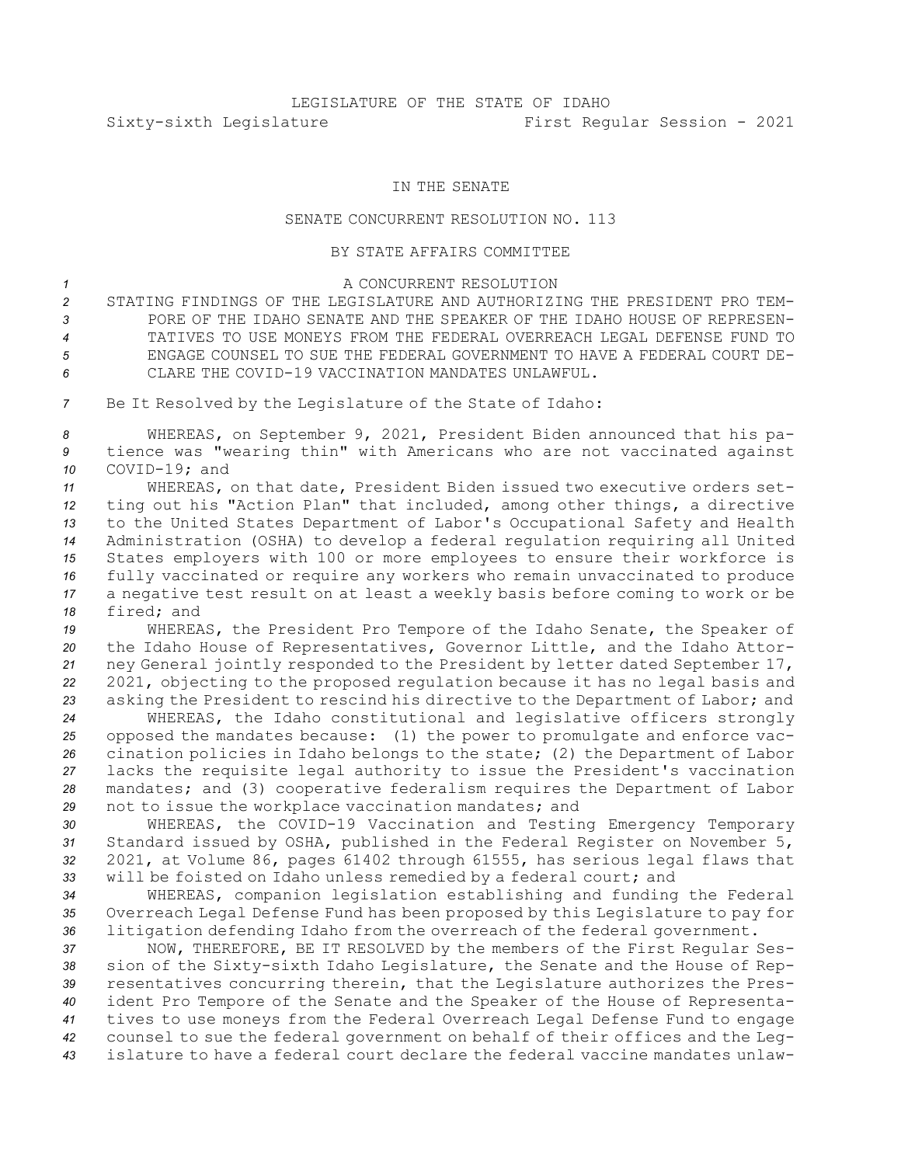## IN THE SENATE

## SENATE CONCURRENT RESOLUTION NO. 113

## BY STATE AFFAIRS COMMITTEE

## <sup>1</sup> A CONCURRENT RESOLUTION

 STATING FINDINGS OF THE LEGISLATURE AND AUTHORIZING THE PRESIDENT PRO TEM- PORE OF THE IDAHO SENATE AND THE SPEAKER OF THE IDAHO HOUSE OF REPRESEN- TATIVES TO USE MONEYS FROM THE FEDERAL OVERREACH LEGAL DEFENSE FUND TO ENGAGE COUNSEL TO SUE THE FEDERAL GOVERNMENT TO HAVE A FEDERAL COURT DE-CLARE THE COVID-19 VACCINATION MANDATES UNLAWFUL.

*<sup>7</sup>* Be It Resolved by the Legislature of the State of Idaho:

*<sup>8</sup>* WHEREAS, on September 9, 2021, President Biden announced that his pa-*<sup>9</sup>* tience was "wearing thin" with Americans who are not vaccinated against *10* COVID-19; and

 WHEREAS, on that date, President Biden issued two executive orders set- ting out his "Action Plan" that included, among other things, <sup>a</sup> directive to the United States Department of Labor's Occupational Safety and Health Administration (OSHA) to develop <sup>a</sup> federal regulation requiring all United States employers with 100 or more employees to ensure their workforce is fully vaccinated or require any workers who remain unvaccinated to produce <sup>a</sup> negative test result on at least <sup>a</sup> weekly basis before coming to work or be fired; and

 WHEREAS, the President Pro Tempore of the Idaho Senate, the Speaker of the Idaho House of Representatives, Governor Little, and the Idaho Attor- ney General jointly responded to the President by letter dated September 17, 2021, objecting to the proposed regulation because it has no legal basis and asking the President to rescind his directive to the Department of Labor; and

 WHEREAS, the Idaho constitutional and legislative officers strongly opposed the mandates because: (1) the power to promulgate and enforce vac- cination policies in Idaho belongs to the state; (2) the Department of Labor lacks the requisite legal authority to issue the President's vaccination mandates; and (3) cooperative federalism requires the Department of Labor not to issue the workplace vaccination mandates; and

 WHEREAS, the COVID-19 Vaccination and Testing Emergency Temporary Standard issued by OSHA, published in the Federal Register on November 5, 2021, at Volume 86, pages 61402 through 61555, has serious legal flaws that will be foisted on Idaho unless remedied by <sup>a</sup> federal court; and

*<sup>34</sup>* WHEREAS, companion legislation establishing and funding the Federal *<sup>35</sup>* Overreach Legal Defense Fund has been proposed by this Legislature to pay for *<sup>36</sup>* litigation defending Idaho from the overreach of the federal government.

 NOW, THEREFORE, BE IT RESOLVED by the members of the First Regular Ses- sion of the Sixty-sixth Idaho Legislature, the Senate and the House of Rep- resentatives concurring therein, that the Legislature authorizes the Pres- ident Pro Tempore of the Senate and the Speaker of the House of Representa- tives to use moneys from the Federal Overreach Legal Defense Fund to engage counsel to sue the federal government on behalf of their offices and the Leg-islature to have <sup>a</sup> federal court declare the federal vaccine mandates unlaw-